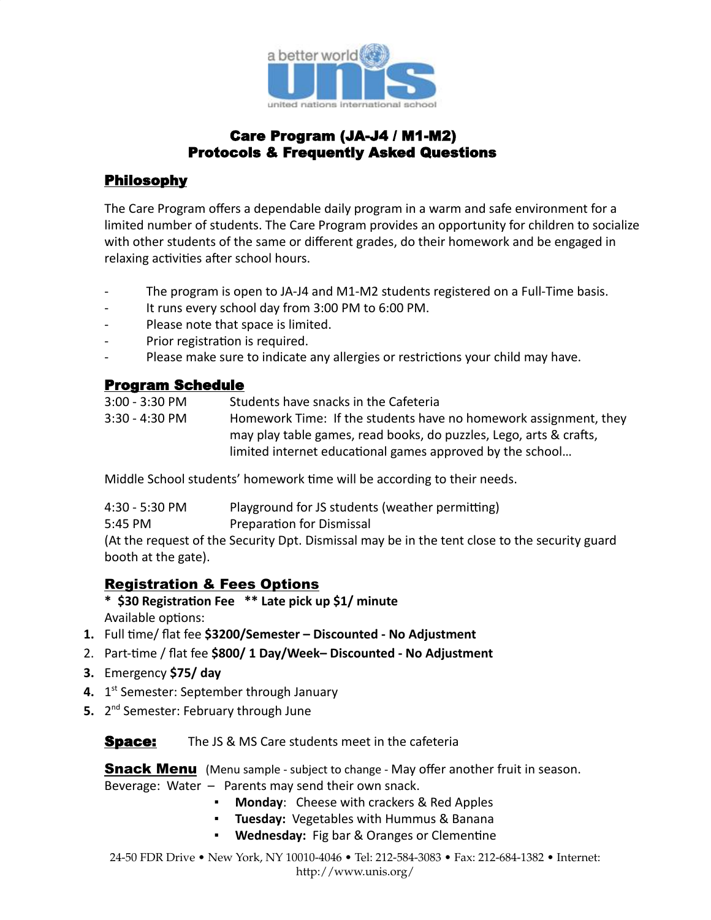

# Care Program (JA-J4 / M1-M2) Protocols & Frequently Asked Questions

# Philosophy

The Care Program offers a dependable daily program in a warm and safe environment for a limited number of students. The Care Program provides an opportunity for children to socialize with other students of the same or different grades, do their homework and be engaged in relaxing activities after school hours.

- The program is open to JA-J4 and M1-M2 students registered on a Full-Time basis.
- It runs every school day from 3:00 PM to 6:00 PM.
- Please note that space is limited.
- Prior registration is required.
- Please make sure to indicate any allergies or restrictions your child may have.

#### Program Schedule

3:00 - 3:30 PM Students have snacks in the Cafeteria

3:30 - 4:30 PM Homework Time: If the students have no homework assignment, they may play table games, read books, do puzzles, Lego, arts & crafts, limited internet educational games approved by the school...

Middle School students' homework time will be according to their needs.

| 4:30 - 5:30 PM | Playground for JS students (weather permitting) |  |
|----------------|-------------------------------------------------|--|
|----------------|-------------------------------------------------|--|

5:45 PM Preparation for Dismissal

(At the request of the Security Dpt. Dismissal may be in the tent close to the security guard booth at the gate).

# Registration & Fees Options

- \* \$30 Registration Fee \*\* Late pick up \$1/ minute Available options:
- 1. Full time/ flat fee \$3200/Semester Discounted No Adjustment
- 2. Part-time / flat fee **\$800/ 1 Day/Week– Discounted No Adjustment**
- **3.** Emergency **\$75/ day**
- **4.** 1 st Semester: September through January
- 5. 2<sup>nd</sup> Semester: February through June

#### **Space:** The JS & MS Care students meet in the cafeteria

**Snack Menu** (Menu sample - subject to change - May offer another fruit in season. Beverage: Water – Parents may send their own snack.

- **Monday**: Cheese with crackers & Red Apples
- **Tuesday:** Vegetables with Hummus & Banana
- **Wednesday:** Fig bar & Oranges or Clementine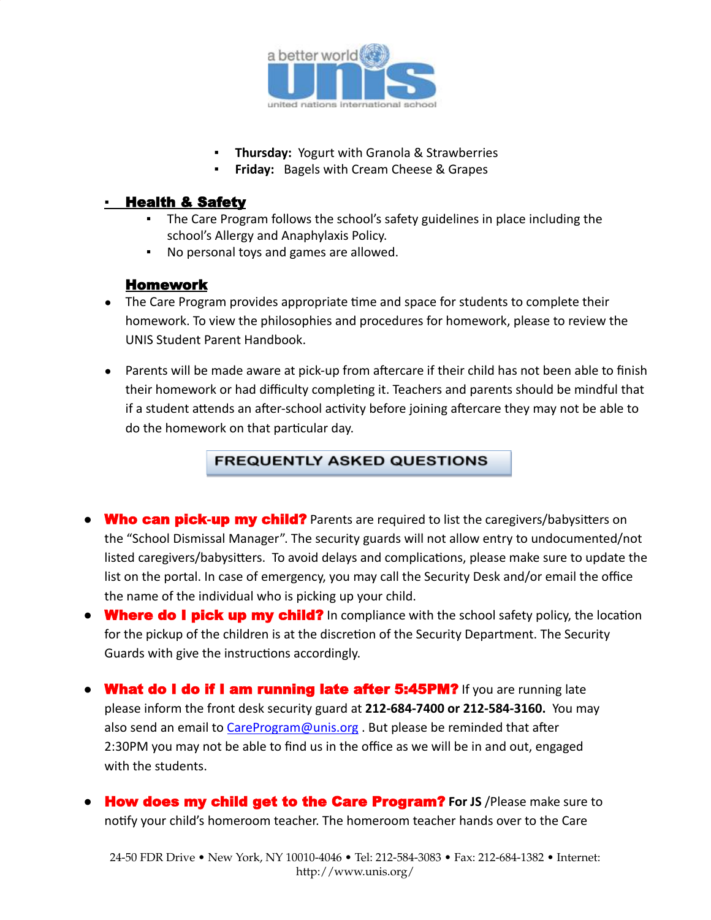

- **Thursday: Yogurt with Granola & Strawberries**
- **Friday:** Bagels with Cream Cheese & Grapes

#### ▪ Health & Safety

- The Care Program follows the school's safety guidelines in place including the school's Allergy and Anaphylaxis Policy.
- No personal toys and games are allowed.

#### Homework

- The Care Program provides appropriate time and space for students to complete their homework. To view the philosophies and procedures for homework, please to review the UNIS Student Parent Handbook.
- Parents will be made aware at pick-up from aftercare if their child has not been able to finish their homework or had difficulty completing it. Teachers and parents should be mindful that if a student attends an after-school activity before joining aftercare they may not be able to do the homework on that particular day.

#### **FREQUENTLY ASKED QUESTIONS**

- Who can pick-up my child? Parents are required to list the caregivers/babysitters on the "School Dismissal Manager". The security guards will not allow entry to undocumented/not listed caregivers/babysitters. To avoid delays and complications, please make sure to update the list on the portal. In case of emergency, you may call the Security Desk and/or email the office the name of the individual who is picking up your child.
- $\bullet$  Where do I pick up my child? In compliance with the school safety policy, the location for the pickup of the children is at the discretion of the Security Department. The Security Guards with give the instructions accordingly.
- What do I do if I am running late after 5:45PM? If you are running late please inform the front desk security guard at **212-684-7400 or 212-584-3160.** You may also send an email to [CareProgram@unis.org](mailto:CareProgram@unis.org) . But please be reminded that after 2:30PM you may not be able to find us in the office as we will be in and out, engaged with the students.
- How does my child get to the Care Program? **For JS** /Please make sure to notify your child's homeroom teacher. The homeroom teacher hands over to the Care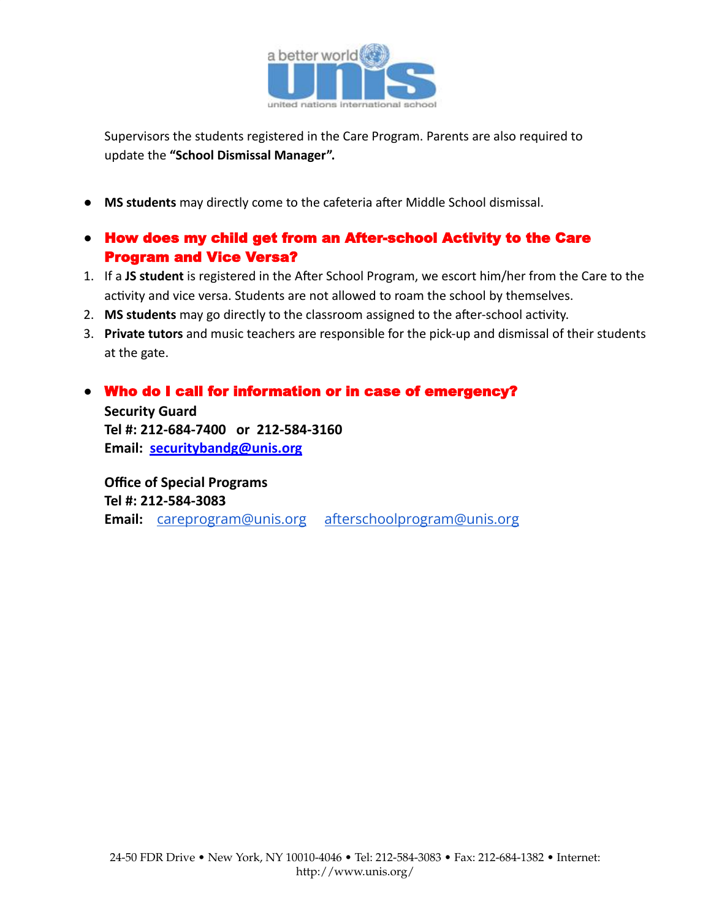

Supervisors the students registered in the Care Program. Parents are also required to update the **"School Dismissal Manager".**

- **MS students** may directly come to the cafeteria after Middle School dismissal.
- How does my child get from an After-school Activity to the Care Program and Vice Versa?
- 1. If a JS student is registered in the After School Program, we escort him/her from the Care to the activity and vice versa. Students are not allowed to roam the school by themselves.
- 2. MS students may go directly to the classroom assigned to the after-school activity.
- 3. **Private tutors** and music teachers are responsible for the pick-up and dismissal of their students at the gate.

### ● Who do I call for information or in case of emergency?

**Security Guard Tel #: 212-684-7400 or 212-584-3160 Email: [securitybandg@unis.org](mailto:security@unis.org)**

**Office of Special Programs Tel #: 212-584-3083 Email:** [careprogram@unis.org](mailto:careprogram@unis.org) [afterschoolprogram@unis.org](mailto:afterschoolprogram@unis.org)